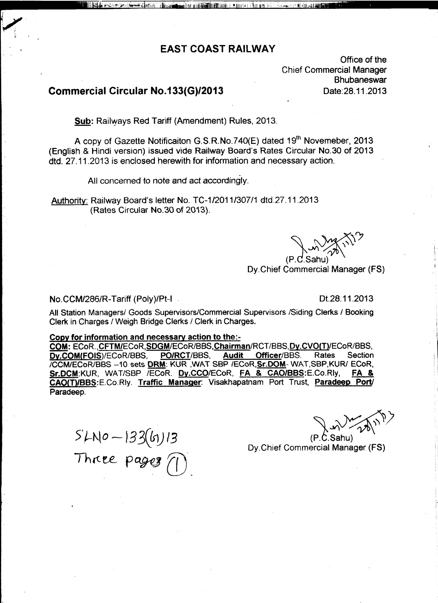# **EAST COAST RAILWAY**

 $\mathbf{h}_{\text{max}}$  ,  $\mathbf{h}_{\text{max}}$  ,  $\mathbf{h}_{\text{max}}$  ,  $\mathbf{h}_{\text{max}}$  ,  $\mathbf{h}_{\text{max}}$  ,  $\mathbf{h}_{\text{max}}$ 

Office of the Chief Commercial Manager **Bhubaneswar** Oate:28.11.2013

# Commercial Circular No.133(G)/2013

ar beri <del>kesid</del> idadi. A

i **li**tmar

Sub: Railways Red Tariff (Amendment) Rules, 2013.

A copy of Gazette Notificaiton G.S.R.No.740(E) dated 19<sup>th</sup> Novemeber, 2013 (English & Hindi version) issued vide Railway Board's Rates Circular NO.30 of 2013 dtd. 27.11.2013 is enclosed herewith for information and necessary action.

All concerned to note and act accordingly.

Authority: Railway Board's letter No. *TC-1/2011/307/1* dtd.27.11.2013 (Rates Circular NO.30 of 2Q13).

~ ~~') *~V~\"-* (P.C.Sahı

Oy.Chief Commercial Manager (FS)

#### No.CCM/286/R-Tariff (Poly)/Pt-I . 01.28.11.2013

All Station Managers/ Goods Supervisors/Commercial Supervisors /Siding Clerks / Booking Clerk in Charges / Weigh Bridge Clerks / Clerk in Charges.

#### Copy for information and necessary action to the:-

COM: ECoR., CFTM/ECoR, SDGM/ECoR/BBS, Chairman/RCT/BBS, Dy.CVO(T)/ECoR/BBS, Dy.COM(FOIS)/ECoR/BBS, PO/RCT/BBS, Audit Officer/BBS. Rates Section /CCM/ECoR/BBS --10 sets <u>DRM</u>: KUR ,WAT SBP /ECoR, <mark>Sr.DOM</mark>- WAT, SBP, KUR/ ECoR,<br>Sr.DCM: KUR, WAT/SBP /ECoR, Dv.CCO/ECoR, FA & CAO/BBS: E.Co.Rly, FA & Sr.DCM:KUR, WAT/SBP / ECoR, Dy.CCO/ECoR, FA & CAO/BBS:E.Co.Rly, CAO(T)/BBS:E.Co.Rly. Traffic Manager: Visakhapatnam Port Trust, Paradeep Port/ Paradeep.

*5'.t-~\<sup>0</sup> - )*33(61) /3 Three pages  $\bigcap$ 

*~->'\"\Y~)*

(P.C.SahU) Dy.Chief Commercial Manager (FS)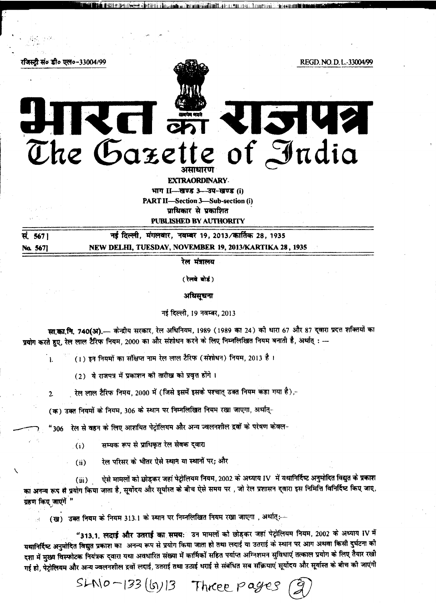

भाग II-खण्ड 3-उप-खण्ड (i) **PART II-Section 3-Sub-section (i)** प्राधिकार से प्रकाशित PUBLISHED BY AUTHORITY

| सं. 567। | नई दिल्ली, मंगलवार, नवम्बर 19, 2013/कार्तिक 28, 1935   |
|----------|--------------------------------------------------------|
| No. 5671 | NEW DELHI, TUESDAY, NOVEMBER 19, 2013/KARTIKA 28, 1935 |

रेल मंत्रालय

(रेलवे बोर्ड)

अधिसूचना

नई दिल्ली, 19 नवम्बर, 2013

सा.का.नि. 740(अ).— केन्द्रीय सरकार, रेल अधिनियम, 1989 (1989 का 24) की धारा 67 और 87 दवारा प्रदत्त शक्तियों का प्रयोग करते हुए, रेल लाल टैरिफ नियम, 2000 का और संशोधन करने के लिए निम्नलिखित नियम बनाती है, अर्थात् : --

(1) इन नियमों का संक्षिप्त नाम रेल लाल टैरिफ (संशोधन) नियम, 2013 है।

(2) ये राजपत्र में प्रकाशन की तारीख को प्रवृत्त होंगे।

 $\mathbf{L}$ 

 $\overline{2}$ 

रेल लाल टैरिफ निमय, 2000 में (जिसे इसमें इसके पश्चात् उक्त नियम कहा गया है),-

(क) उक्त नियमों के नियम, 306 के स्थान पर निम्नलिखित नियम रखा जाएगा, अर्थात्-

रेल से वहन के लिए आशयित पेट्रोलियम और अन्य ज्वलनशील द्रवों के परेषण केवल- $^{\prime}$ 306

- सम्यक रूप से प्राधिकत रेल सेवक दवारा  $(i)$
- रेल परिसर के भीतर ऐसे स्थान या स्थानों पर; और  $(ii)$

ऐसे मामलों को छोड़कर जहां पेट्रोलियम नियम, 2002 के अध्याय IV में यथानिर्दिष्ट अनुमोदित विद्युत के प्रकाश  $(iii)$ का अनन्य रूप से प्रयोग किया जाता है, सूर्योदय और सूर्यास्त के बीच ऐसे समय पर, जो रेल प्रशासन द्वारा इस निमित्ति विनिर्दिष्ट किए जाए, ग्रहण किए जाएंगें "

(ख) उक्त नियम के नियम 313.1 के स्थान पर निम्नलिखित नियम रखा जाएगा , अर्थात् :-

 $S L N 0 - 133 (6) 13$  Three pages

"313.1. लदाई और उतराई का समय: उन मामलों को छोड़कर जहां पेट्रोलियम नियम, 2002 के अध्याय IV में यथानिर्दिष्ट अनुमोदित विद्युत प्रकाश का अनन्य रूप से प्रयोग किया जाता हो तथा लदाई या उतराई के स्थान पर आग अथवा किसी दुर्घटना की दशा में मुख्य विस्फोटक नियंत्रक द्वारा यथा अवधारित संख्या में कार्मिकों सहित पर्याप्त अग्निशमन सुविधाएं तत्काल प्रयोग के लिए तैयार रखी गई हो, पेट्रोलियम और अन्य ज्वलनशील द्रवों लदाई, उतराई तथा उठाई धराई से संबंधित सब सॉक्रयाएं सूर्योदय और सूर्यास्त के बीच को जाएंगी